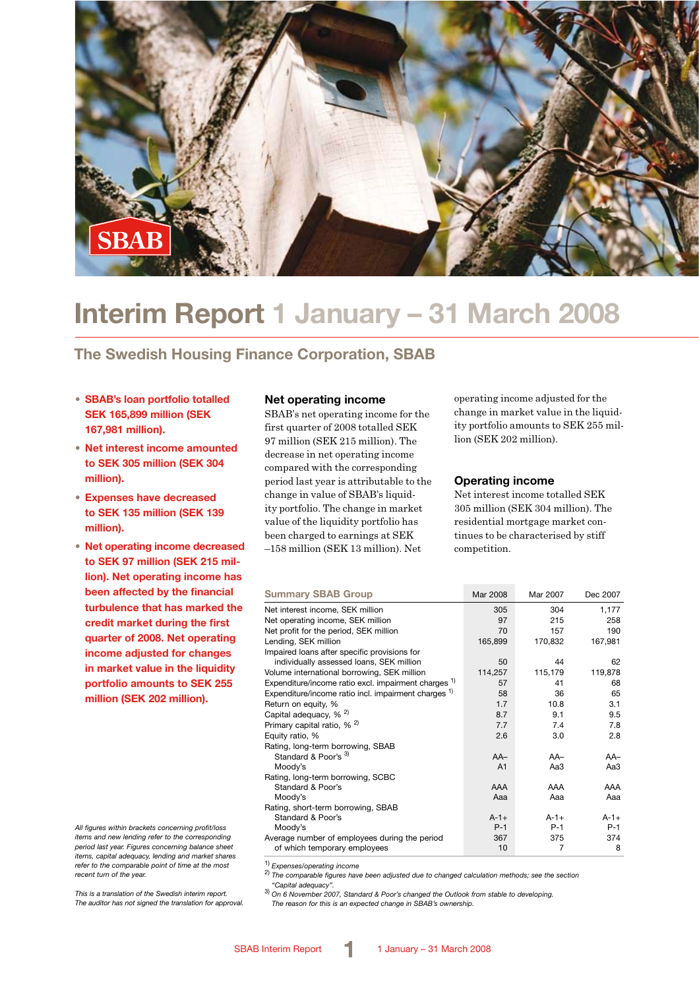

# **Interim Report 1 January – 31 March 2008**

# **The Swedish Housing Finance Corporation, SBAB**

- **• SBAB's loan portfolio totalled SEK 165,899 million (SEK 167,981 million).**
- **Net interest income amounted to SEK 305 million (SEK 304 million).**
- **Expenses have decreased to SEK 135 million (SEK 139 million).**
- **Net operating income decreased to SEK 97 million (SEK 215 million). Net operating income has been affected by the financial turbulence that has marked the credit market during the first quarter of 2008. Net operating income adjusted for changes in market value in the liquidity portfolio amounts to SEK 255 million (SEK 202 million).**

*All figures within brackets concerning profit/loss items and new lending refer to the corresponding period last year. Figures concerning balance sheet items, capital adequacy, lending and market shares refer to the comparable point of time at the most recent turn of the year.*

*This is a translation of the Swedish interim report. The auditor has not signed the translation for approval.*

#### **Net operating income**

SBAB's net operating income for the first quarter of 2008 totalled SEK 97 million (SEK 215 million). The decrease in net operating income compared with the corresponding period last year is attributable to the change in value of SBAB's liquidity portfolio. The change in market value of the liquidity portfolio has been charged to earnings at SEK –158 million (SEK 13 million). Net

operating income adjusted for the change in market value in the liquidity portfolio amounts to SEK 255 million (SEK 202 million).

#### **Operating income**

Net interest income totalled SEK 305 million (SEK 304 million). The residential mortgage market continues to be characterised by stiff competition.

| <b>Summary SBAB Group</b>                                       | Mar 2008       | Mar 2007  | Dec 2007  |
|-----------------------------------------------------------------|----------------|-----------|-----------|
| Net interest income, SEK million                                | 305            | 304       | 1,177     |
| Net operating income, SEK million                               | 97             | 215       | 258       |
| Net profit for the period, SEK million                          | 70             | 157       | 190       |
| Lending, SEK million                                            | 165,899        | 170,832   | 167,981   |
| Impaired loans after specific provisions for                    |                |           |           |
| individually assessed loans, SEK million                        | 50             | 44        | 62        |
| Volume international borrowing, SEK million                     | 114,257        | 115,179   | 119,878   |
| Expenditure/income ratio excl. impairment charges <sup>1)</sup> | 57             | 41        | 68        |
| Expenditure/income ratio incl. impairment charges <sup>1)</sup> | 58             | 36        | 65        |
| Return on equity, %                                             | 1.7            | 10.8      | 3.1       |
| Capital adequacy, % <sup>2)</sup>                               | 8.7            | 9.1       | 9.5       |
| Primary capital ratio, % <sup>2)</sup>                          | 7.7            | 7.4       | 7.8       |
| Equity ratio, %                                                 | 2.6            | 3.0       | 2.8       |
| Rating, long-term borrowing, SBAB                               |                |           |           |
| Standard & Poor's 3)                                            | $AA-$          | $AA-$     | $AA-$     |
| Moody's                                                         | A <sub>1</sub> | Aa3       | АаЗ       |
| Rating, long-term borrowing, SCBC                               |                |           |           |
| Standard & Poor's                                               | AAA            | AAA       | AAA       |
| Moody's                                                         | Aaa            | Aaa       | Aaa       |
| Rating, short-term borrowing, SBAB                              |                |           |           |
| Standard & Poor's                                               | $A - 1 +$      | $A - 1 +$ | $A - 1 +$ |
| Moody's                                                         | $P-1$          | $P-1$     | $P-1$     |
| Average number of employees during the period                   | 367            | 375       | 374       |
| of which temporary employees                                    | 10             | 7         | 8         |

1) *Expenses/operating income* 2) *The comparable figures have been adjusted due to changed calculation methods; see the section* 

*"Capital adequacy".* 3) *On 6 November 2007, Standard & Poor's changed the Outlook from stable to developing. The reason for this is an expected change in SBAB's ownership.*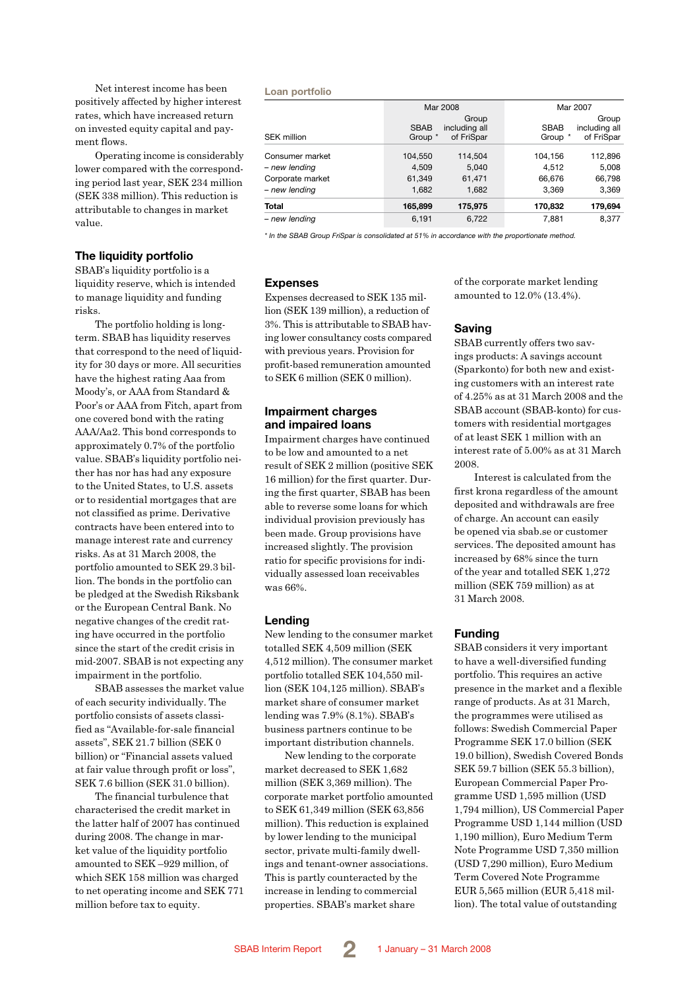Net interest income has been positively affected by higher interest rates, which have increased return on invested equity capital and payment flows.

Operating income is considerably lower compared with the corresponding period last year, SEK 234 million (SEK 338 million). This reduction is attributable to changes in market value.

#### **The liquidity portfolio**

SBAB's liquidity portfolio is a liquidity reserve, which is intended to manage liquidity and funding risks.

The portfolio holding is longterm. SBAB has liquidity reserves that correspond to the need of liquidity for 30 days or more. All securities have the highest rating Aaa from Moody's, or AAA from Standard & Poor's or AAA from Fitch, apart from one covered bond with the rating AAA/Aa2. This bond corresponds to approximately 0.7% of the portfolio value. SBAB's liquidity portfolio neither has nor has had any exposure to the United States, to U.S. assets or to residential mortgages that are not classified as prime. Derivative contracts have been entered into to manage interest rate and currency risks. As at 31 March 2008, the portfolio amounted to SEK 29.3 billion. The bonds in the portfolio can be pledged at the Swedish Riksbank or the European Central Bank. No negative changes of the credit rating have occurred in the portfolio since the start of the credit crisis in mid-2007. SBAB is not expecting any impairment in the portfolio.

SBAB assesses the market value of each security individually. The portfolio consists of assets classified as "Available-for-sale financial assets", SEK 21.7 billion (SEK 0 billion) or "Financial assets valued at fair value through profit or loss", SEK 7.6 billion (SEK 31.0 billion).

The financial turbulence that characterised the credit market in the latter half of 2007 has continued during 2008. The change in market value of the liquidity portfolio amounted to SEK –929 million, of which SEK 158 million was charged to net operating income and SEK 771 million before tax to equity.

#### **Loan portfolio**

|                  |             | Mar 2008               |             | Mar 2007               |
|------------------|-------------|------------------------|-------------|------------------------|
|                  | <b>SBAB</b> | Group<br>including all | <b>SBAB</b> | Group<br>including all |
| SEK million      | Group *     | of FriSpar             | Group *     | of FriSpar             |
| Consumer market  | 104,550     | 114,504                | 104,156     | 112,896                |
| – new lending    | 4,509       | 5,040                  | 4,512       | 5,008                  |
| Corporate market | 61,349      | 61,471                 | 66,676      | 66,798                 |
| – new lending    | 1,682       | 1,682                  | 3,369       | 3,369                  |
| Total            | 165,899     | 175,975                | 170,832     | 179,694                |
| – new lending    | 6.191       | 6.722                  | 7.881       | 8.377                  |

*\* In the SBAB Group FriSpar is consolidated at 51% in accordance with the proportionate method.*

#### **Expenses**

Expenses decreased to SEK 135 million (SEK 139 million), a reduction of 3%. This is attributable to SBAB having lower consultancy costs compared with previous years. Provision for profit-based remuneration amounted to SEK 6 million (SEK 0 million).

#### **Impairment charges and impaired loans**

Impairment charges have continued to be low and amounted to a net result of SEK 2 million (positive SEK 16 million) for the first quarter. During the first quarter, SBAB has been able to reverse some loans for which individual provision previously has been made. Group provisions have increased slightly. The provision ratio for specific provisions for individually assessed loan receivables was 66%.

#### **Lending**

New lending to the consumer market totalled SEK 4,509 million (SEK 4,512 million). The consumer market portfolio totalled SEK 104,550 million (SEK 104,125 million). SBAB's market share of consumer market lending was 7.9% (8.1%). SBAB's business partners continue to be important distribution channels.

New lending to the corporate market decreased to SEK 1,682 million (SEK 3,369 million). The corporate market portfolio amounted to SEK 61,349 million (SEK 63,856 million). This reduction is explained by lower lending to the municipal sector, private multi-family dwellings and tenant-owner associations. This is partly counteracted by the increase in lending to commercial properties. SBAB's market share

of the corporate market lending amounted to 12.0% (13.4%).

#### **Saving**

SBAB currently offers two savings products: A savings account (Sparkonto) for both new and existing customers with an interest rate of 4.25% as at 31 March 2008 and the SBAB account (SBAB-konto) for customers with residential mortgages of at least SEK 1 million with an interest rate of 5.00% as at 31 March 2008.

Interest is calculated from the first krona regardless of the amount deposited and withdrawals are free of charge. An account can easily be opened via sbab.se or customer services. The deposited amount has increased by 68% since the turn of the year and totalled SEK 1,272 million (SEK 759 million) as at 31 March 2008.

#### **Funding**

SBAB considers it very important to have a well-diversified funding portfolio. This requires an active presence in the market and a flexible range of products. As at 31 March, the programmes were utilised as follows: Swedish Commercial Paper Programme SEK 17.0 billion (SEK 19.0 billion), Swedish Covered Bonds SEK 59.7 billion (SEK 55.3 billion), European Commercial Paper Programme USD 1,595 million (USD 1,794 million), US Commercial Paper Programme USD 1,144 million (USD 1,190 million), Euro Medium Term Note Programme USD 7,350 million (USD 7,290 million), Euro Medium Term Covered Note Programme EUR 5,565 million (EUR 5,418 million). The total value of outstanding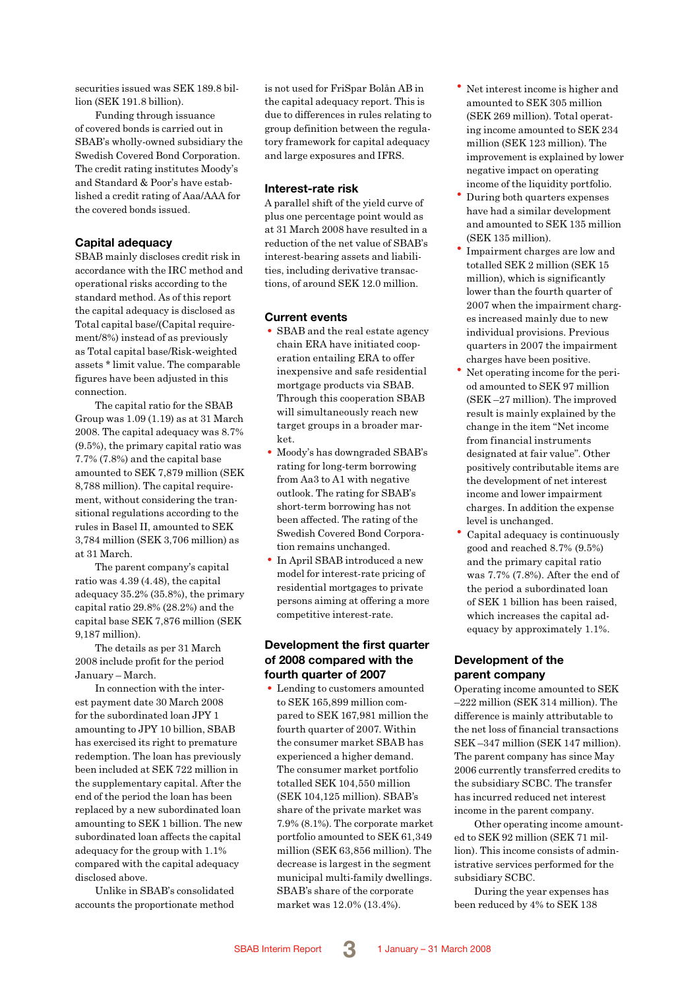securities issued was SEK 189.8 billion (SEK 191.8 billion).

Funding through issuance of covered bonds is carried out in SBAB's wholly-owned subsidiary the Swedish Covered Bond Corporation. The credit rating institutes Moody's and Standard & Poor's have established a credit rating of Aaa/AAA for the covered bonds issued.

#### **Capital adequacy**

SBAB mainly discloses credit risk in accordance with the IRC method and operational risks according to the standard method. As of this report the capital adequacy is disclosed as Total capital base/(Capital requirement/8%) instead of as previously as Total capital base/Risk-weighted assets \* limit value. The comparable figures have been adjusted in this connection.

The capital ratio for the SBAB Group was 1.09 (1.19) as at 31 March 2008. The capital adequacy was 8.7% (9.5%), the primary capital ratio was 7.7% (7.8%) and the capital base amounted to SEK 7,879 million (SEK 8,788 million). The capital requirement, without considering the transitional regulations according to the rules in Basel II, amounted to SEK 3,784 million (SEK 3,706 million) as at 31 March.

The parent company's capital ratio was 4.39 (4.48), the capital adequacy 35.2% (35.8%), the primary capital ratio 29.8% (28.2%) and the capital base SEK 7,876 million (SEK 9,187 million).

The details as per 31 March 2008 include profit for the period January – March.

In connection with the interest payment date 30 March 2008 for the subordinated loan JPY 1 amounting to JPY 10 billion, SBAB has exercised its right to premature redemption. The loan has previously been included at SEK 722 million in the supplementary capital. After the end of the period the loan has been replaced by a new subordinated loan amounting to SEK 1 billion. The new subordinated loan affects the capital adequacy for the group with 1.1% compared with the capital adequacy disclosed above.

Unlike in SBAB's consolidated accounts the proportionate method is not used for FriSpar Bolån AB in the capital adequacy report. This is due to differences in rules relating to group definition between the regulatory framework for capital adequacy and large exposures and IFRS.

#### **Interest-rate risk**

A parallel shift of the yield curve of plus one percentage point would as at 31 March 2008 have resulted in a reduction of the net value of SBAB's interest-bearing assets and liabilities, including derivative transactions, of around SEK 12.0 million.

### **Current events**

- SBAB and the real estate agency chain ERA have initiated cooperation entailing ERA to offer inexpensive and safe residential mortgage products via SBAB. Through this cooperation SBAB will simultaneously reach new target groups in a broader mar $k$ et.
- Moody's has downgraded SBAB's rating for long-term borrowing from Aa3 to A1 with negative outlook. The rating for SBAB's short-term borrowing has not been affected. The rating of the Swedish Covered Bond Corporation remains unchanged.
- •In April SBAB introduced a new model for interest-rate pricing of residential mortgages to private persons aiming at offering a more competitive interest-rate.

### **Development the first quarter of 2008 compared with the fourth quarter of 2007**

• Lending to customers amounted to SEK 165,899 million compared to SEK 167,981 million the fourth quarter of 2007. Within the consumer market SBAB has experienced a higher demand. The consumer market portfolio totalled SEK 104,550 million (SEK 104,125 million). SBAB's share of the private market was 7.9% (8.1%). The corporate market portfolio amounted to SEK 61,349 million (SEK 63,856 million). The decrease is largest in the segment municipal multi-family dwellings. SBAB's share of the corporate market was 12.0% (13.4%).

- Net interest income is higher and amounted to SEK 305 million (SEK 269 million). Total operating income amounted to SEK 234 million (SEK 123 million). The improvement is explained by lower negative impact on operating
- income of the liquidity portfolio. • During both quarters expenses have had a similar development and amounted to SEK 135 million (SEK 135 million).
- •Impairment charges are low and totalled SEK 2 million (SEK 15 million), which is significantly lower than the fourth quarter of 2007 when the impairment charges increased mainly due to new individual provisions. Previous quarters in 2007 the impairment charges have been positive.
- Net operating income for the period amounted to SEK 97 million (SEK –27 million). The improved result is mainly explained by the change in the item "Net income from financial instruments designated at fair value". Other positively contributable items are the development of net interest income and lower impairment charges. In addition the expense level is unchanged.
- Capital adequacy is continuously good and reached 8.7% (9.5%) and the primary capital ratio was 7.7% (7.8%). After the end of the period a subordinated loan of SEK 1 billion has been raised, which increases the capital adequacy by approximately 1.1%.

### **Development of the parent company**

Operating income amounted to SEK –222 million (SEK 314 million). The difference is mainly attributable to the net loss of financial transactions SEK –347 million (SEK 147 million). The parent company has since May 2006 currently transferred credits to the subsidiary SCBC. The transfer has incurred reduced net interest income in the parent company.

Other operating income amounted to SEK 92 million (SEK 71 million). This income consists of administrative services performed for the subsidiary SCBC.

During the year expenses has been reduced by 4% to SEK 138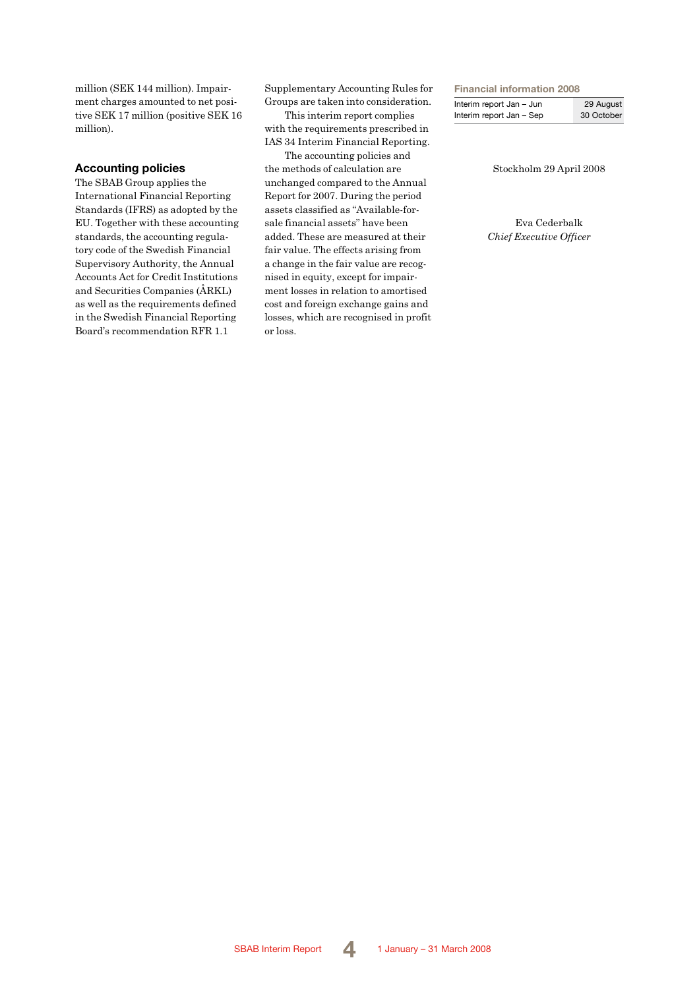million (SEK 144 million). Impairment charges amounted to net positive SEK 17 million (positive SEK 16 million).

### **Accounting policies**

The SBAB Group applies the International Financial Reporting Standards (IFRS) as adopted by the EU. Together with these accounting standards, the accounting regulatory code of the Swedish Financial Supervisory Authority, the Annual Accounts Act for Credit Institutions and Securities Companies (ÅRKL) as well as the requirements defined in the Swedish Financial Reporting Board's recommendation RFR 1.1

Supplementary Accounting Rules for Groups are taken into consideration.

This interim report complies with the requirements prescribed in IAS 34 Interim Financial Reporting.

The accounting policies and the methods of calculation are unchanged compared to the Annual Report for 2007. During the period assets classified as "Available-forsale financial assets" have been added. These are measured at their fair value. The effects arising from a change in the fair value are recognised in equity, except for impairment losses in relation to amortised cost and foreign exchange gains and losses, which are recognised in profit or loss.

#### **Financial information 2008**

| Interim report Jan - Jun | 29 August  |
|--------------------------|------------|
| Interim report Jan - Sep | 30 October |

Stockholm 29 April 2008

Eva Cederbalk *Chief Executive Officer*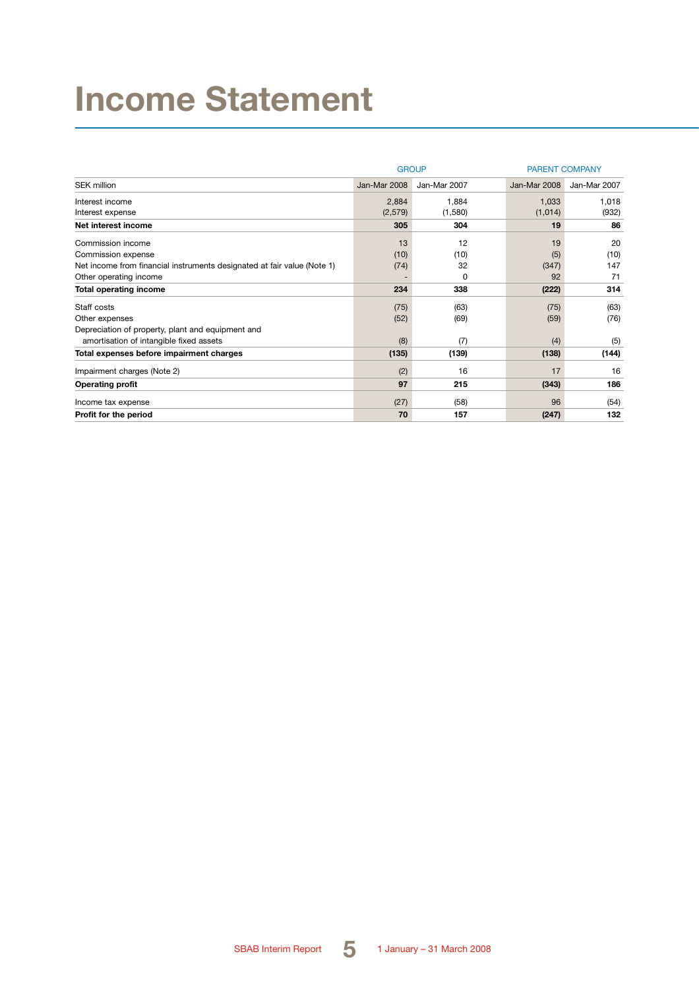# **Income Statement**

|                                                                         |              | <b>GROUP</b> | <b>PARENT COMPANY</b> |              |  |
|-------------------------------------------------------------------------|--------------|--------------|-----------------------|--------------|--|
| <b>SEK million</b>                                                      | Jan-Mar 2008 | Jan-Mar 2007 | Jan-Mar 2008          | Jan-Mar 2007 |  |
| Interest income                                                         | 2,884        | 1,884        | 1,033                 | 1,018        |  |
| Interest expense                                                        | (2,579)      | (1,580)      | (1,014)               | (932)        |  |
| Net interest income                                                     | 305          | 304          | 19                    | 86           |  |
| Commission income                                                       | 13           | 12           | 19                    | 20           |  |
| Commission expense                                                      | (10)         | (10)         | (5)                   | (10)         |  |
| Net income from financial instruments designated at fair value (Note 1) | (74)         | 32           | (347)                 | 147          |  |
| Other operating income                                                  |              | 0            | 92                    | 71           |  |
| <b>Total operating income</b>                                           | 234          | 338          | (222)                 | 314          |  |
| Staff costs                                                             | (75)         | (63)         | (75)                  | (63)         |  |
| Other expenses                                                          | (52)         | (69)         | (59)                  | (76)         |  |
| Depreciation of property, plant and equipment and                       |              |              |                       |              |  |
| amortisation of intangible fixed assets                                 | (8)          | (7)          | (4)                   | (5)          |  |
| Total expenses before impairment charges                                | (135)        | (139)        | (138)                 | (144)        |  |
| Impairment charges (Note 2)                                             | (2)          | 16           | 17                    | 16           |  |
| <b>Operating profit</b>                                                 | 97           | 215          | (343)                 | 186          |  |
| Income tax expense                                                      | (27)         | (58)         | 96                    | (54)         |  |
| Profit for the period                                                   | 70           | 157          | (247)                 | 132          |  |

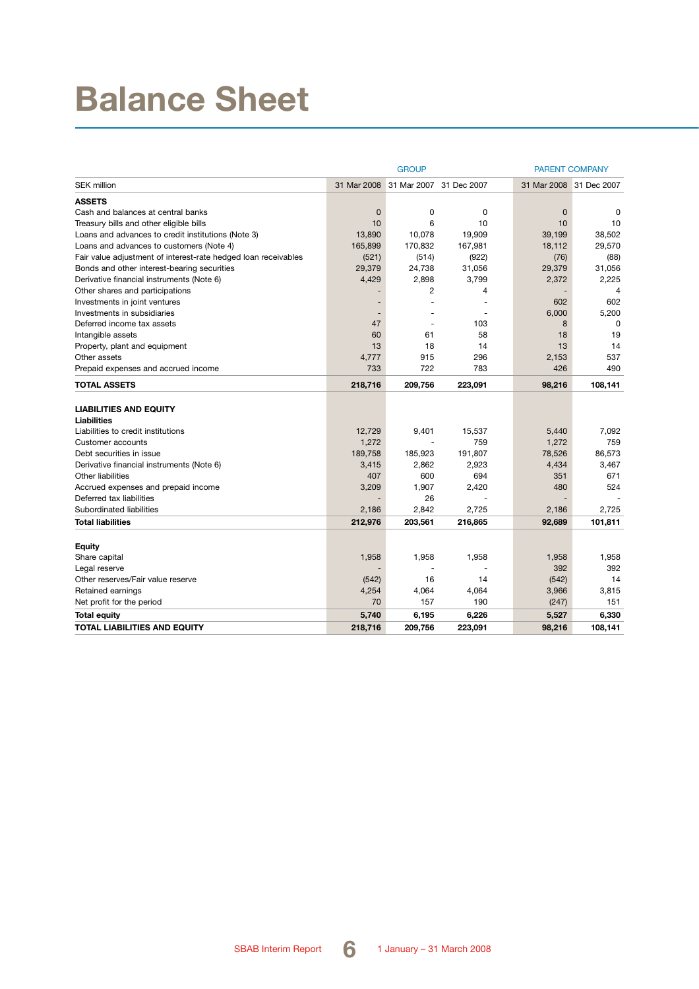# **Balance Sheet**

|                                                                |             | <b>GROUP</b> |             |             | <b>PARENT COMPANY</b>   |
|----------------------------------------------------------------|-------------|--------------|-------------|-------------|-------------------------|
| <b>SEK million</b>                                             | 31 Mar 2008 | 31 Mar 2007  | 31 Dec 2007 |             | 31 Mar 2008 31 Dec 2007 |
| <b>ASSETS</b>                                                  |             |              |             |             |                         |
| Cash and balances at central banks                             | 0           | 0            | 0           | $\mathbf 0$ | $\Omega$                |
| Treasury bills and other eligible bills                        | 10          | 6            | 10          | 10          | 10                      |
| Loans and advances to credit institutions (Note 3)             | 13,890      | 10.078       | 19,909      | 39,199      | 38,502                  |
| Loans and advances to customers (Note 4)                       | 165,899     | 170,832      | 167,981     | 18,112      | 29,570                  |
| Fair value adjustment of interest-rate hedged loan receivables | (521)       | (514)        | (922)       | (76)        | (88)                    |
| Bonds and other interest-bearing securities                    | 29,379      | 24,738       | 31,056      | 29,379      | 31,056                  |
| Derivative financial instruments (Note 6)                      | 4,429       | 2,898        | 3,799       | 2,372       | 2,225                   |
| Other shares and participations                                |             | 2            | 4           |             | $\overline{4}$          |
| Investments in joint ventures                                  |             |              |             | 602         | 602                     |
| Investments in subsidiaries                                    |             |              |             | 6,000       | 5,200                   |
| Deferred income tax assets                                     | 47          | ٠            | 103         | 8           | 0                       |
| Intangible assets                                              | 60          | 61           | 58          | 18          | 19                      |
| Property, plant and equipment                                  | 13          | 18           | 14          | 13          | 14                      |
| Other assets                                                   | 4,777       | 915          | 296         | 2,153       | 537                     |
| Prepaid expenses and accrued income                            | 733         | 722          | 783         | 426         | 490                     |
| <b>TOTAL ASSETS</b>                                            | 218,716     | 209,756      | 223,091     | 98,216      | 108,141                 |
| <b>LIABILITIES AND EQUITY</b>                                  |             |              |             |             |                         |
| Liabilities                                                    |             |              |             |             |                         |
| Liabilities to credit institutions                             | 12,729      | 9,401        | 15,537      | 5,440       | 7,092                   |
| Customer accounts                                              | 1,272       |              | 759         | 1,272       | 759                     |
| Debt securities in issue                                       | 189,758     | 185,923      | 191,807     | 78,526      | 86,573                  |
| Derivative financial instruments (Note 6)                      | 3,415       | 2,862        | 2,923       | 4,434       | 3,467                   |
| <b>Other liabilities</b>                                       | 407         | 600          | 694         | 351         | 671                     |
| Accrued expenses and prepaid income                            | 3,209       | 1,907        | 2,420       | 480         | 524                     |
| Deferred tax liabilities                                       |             | 26           |             |             |                         |
| Subordinated liabilities                                       | 2,186       | 2,842        | 2,725       | 2,186       | 2,725                   |
| <b>Total liabilities</b>                                       | 212,976     | 203,561      | 216,865     | 92,689      | 101,811                 |
|                                                                |             |              |             |             |                         |
| Equity                                                         |             |              |             |             |                         |
| Share capital                                                  | 1,958       | 1,958        | 1,958       | 1,958       | 1,958                   |
| Legal reserve                                                  |             |              |             | 392         | 392                     |
| Other reserves/Fair value reserve                              | (542)       | 16           | 14          | (542)       | 14                      |
| Retained earnings                                              | 4,254       | 4,064        | 4,064       | 3,966       | 3,815                   |
| Net profit for the period                                      | 70          | 157          | 190         | (247)       | 151                     |
| <b>Total equity</b>                                            | 5,740       | 6,195        | 6,226       | 5,527       | 6,330                   |
| TOTAL LIABILITIES AND EQUITY                                   | 218.716     | 209.756      | 223.091     | 98,216      | 108.141                 |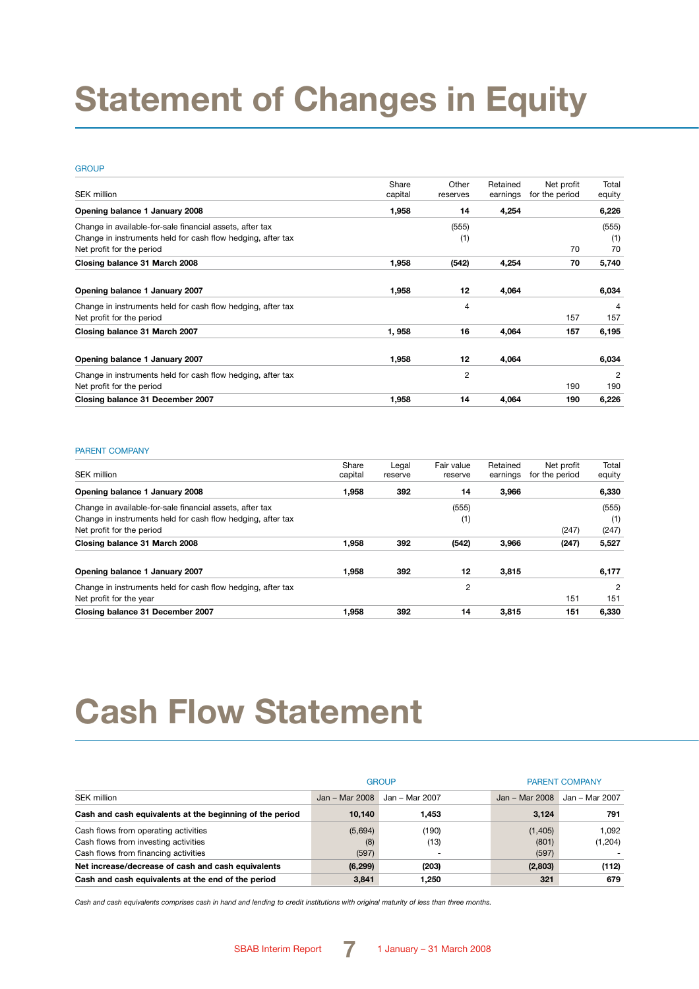# **Statement of Changes in Equity**

#### **GROUP**

| <b>SEK million</b>                                          | Share   | Other    | Retained | Net profit     | Total          |
|-------------------------------------------------------------|---------|----------|----------|----------------|----------------|
|                                                             | capital | reserves | earnings | for the period | equity         |
| Opening balance 1 January 2008                              | 1,958   | 14       | 4,254    |                | 6,226          |
| Change in available-for-sale financial assets, after tax    |         | (555)    |          |                | (555)          |
| Change in instruments held for cash flow hedging, after tax |         | (1)      |          |                | (1)            |
| Net profit for the period                                   |         |          |          | 70             | 70             |
| Closing balance 31 March 2008                               | 1,958   | (542)    | 4,254    | 70             | 5,740          |
| Opening balance 1 January 2007                              | 1,958   | 12       | 4,064    |                | 6,034          |
| Change in instruments held for cash flow hedging, after tax |         | 4        |          |                | 4              |
| Net profit for the period                                   |         |          |          | 157            | 157            |
| Closing balance 31 March 2007                               | 1,958   | 16       | 4,064    | 157            | 6,195          |
| Opening balance 1 January 2007                              | 1,958   | 12       | 4,064    |                | 6,034          |
| Change in instruments held for cash flow hedging, after tax |         | 2        |          |                | $\overline{2}$ |
| Net profit for the period                                   |         |          |          | 190            | 190            |
| Closing balance 31 December 2007                            | 1,958   | 14       | 4,064    | 190            | 6,226          |

#### PARENT COMPANY

| SEK million                                                 | Share<br>capital | Legal<br>reserve | Fair value<br>reserve | Retained<br>earnings | Net profit<br>for the period | Total<br>equity |
|-------------------------------------------------------------|------------------|------------------|-----------------------|----------------------|------------------------------|-----------------|
| Opening balance 1 January 2008                              | 1,958            | 392              | 14                    | 3,966                |                              | 6,330           |
| Change in available-for-sale financial assets, after tax    |                  |                  | (555)                 |                      |                              | (555)           |
| Change in instruments held for cash flow hedging, after tax |                  |                  | (1)                   |                      |                              | (1)             |
| Net profit for the period                                   |                  |                  |                       |                      | (247)                        | (247)           |
| Closing balance 31 March 2008                               | 1.958            | 392              | (542)                 | 3,966                | (247)                        | 5,527           |
| Opening balance 1 January 2007                              | 1.958            | 392              | 12                    | 3,815                |                              | 6,177           |
| Change in instruments held for cash flow hedging, after tax |                  |                  | 2                     |                      |                              | 2               |
| Net profit for the year                                     |                  |                  |                       |                      | 151                          | 151             |
| Closing balance 31 December 2007                            | 1.958            | 392              | 14                    | 3.815                | 151                          | 6.330           |

# **Cash Flow Statement**

|                                                          |                | <b>GROUP</b>   | <b>PARENT COMPANY</b> |                |  |
|----------------------------------------------------------|----------------|----------------|-----------------------|----------------|--|
| SEK million                                              | Jan - Mar 2008 | Jan - Mar 2007 | Jan - Mar 2008        | Jan - Mar 2007 |  |
| Cash and cash equivalents at the beginning of the period | 10.140         | 1,453          | 3.124                 | 791            |  |
| Cash flows from operating activities                     | (5,694)        | (190)          | (1,405)               | 1.092          |  |
| Cash flows from investing activities                     | (8)            | (13)           | (801)                 | (1,204)        |  |
| Cash flows from financing activities                     | (597)          |                | (597)                 |                |  |
| Net increase/decrease of cash and cash equivalents       | (6, 299)       | (203)          | (2,803)               | (112)          |  |
| Cash and cash equivalents at the end of the period       | 3,841          | 1,250          | 321                   | 679            |  |

*Cash and cash equivalents comprises cash in hand and lending to credit institutions with original maturity of less than three months.*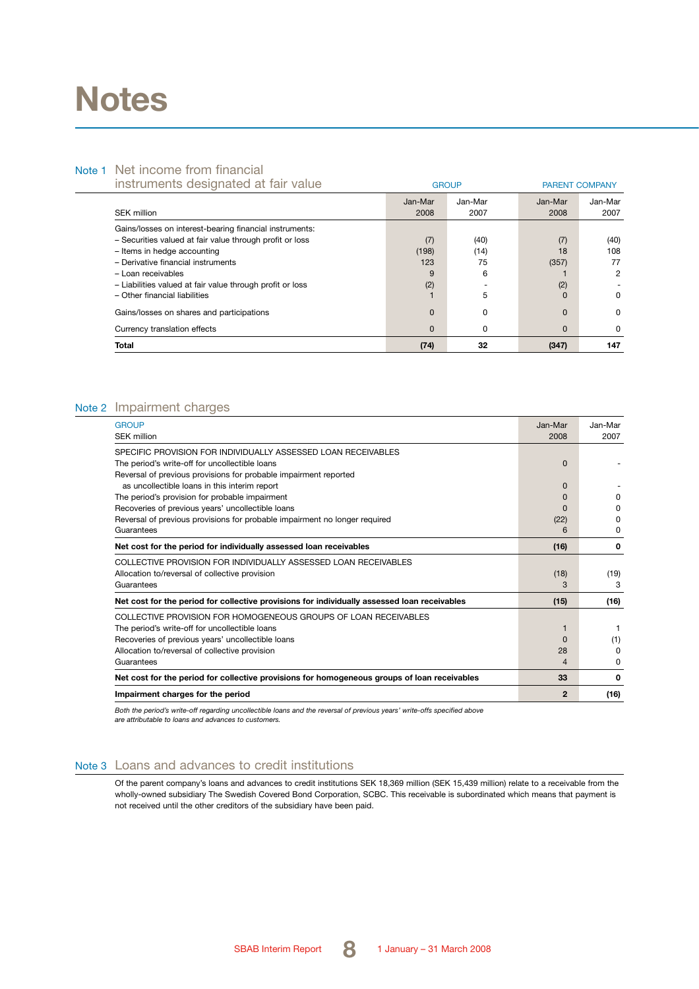# **Notes**

## Note 1 Net income from financial

| instruments designated at fair value                      |          | <b>GROUP</b> | <b>PARENT COMPANY</b> |         |  |
|-----------------------------------------------------------|----------|--------------|-----------------------|---------|--|
|                                                           | Jan-Mar  | Jan-Mar      | Jan-Mar               | Jan-Mar |  |
| <b>SEK million</b>                                        | 2008     | 2007         | 2008                  | 2007    |  |
| Gains/losses on interest-bearing financial instruments:   |          |              |                       |         |  |
| - Securities valued at fair value through profit or loss  | (7)      | (40)         | (7)                   | (40)    |  |
| - Items in hedge accounting                               | (198)    | (14)         | 18                    | 108     |  |
| - Derivative financial instruments                        | 123      | 75           | (357)                 | 77      |  |
| - Loan receivables                                        | 9        | 6            |                       | 2       |  |
| - Liabilities valued at fair value through profit or loss | (2)      |              | (2)                   |         |  |
| - Other financial liabilities                             |          | 5            | $\Omega$              | 0       |  |
| Gains/losses on shares and participations                 | $\Omega$ | 0            | $\Omega$              | 0       |  |
| Currency translation effects                              | $\Omega$ | 0            | 0                     | 0       |  |
| <b>Total</b>                                              | (74)     | 32           | (347)                 | 147     |  |

### Note 2 Impairment charges

| <b>GROUP</b>                                                                                 | Jan-Mar        | Jan-Mar      |
|----------------------------------------------------------------------------------------------|----------------|--------------|
| <b>SEK million</b>                                                                           | 2008           | 2007         |
| SPECIFIC PROVISION FOR INDIVIDUALLY ASSESSED LOAN RECEIVABLES                                |                |              |
| The period's write-off for uncollectible loans                                               | $\Omega$       |              |
| Reversal of previous provisions for probable impairment reported                             |                |              |
| as uncollectible loans in this interim report                                                | <sup>0</sup>   |              |
| The period's provision for probable impairment                                               | 0              | <sup>0</sup> |
| Recoveries of previous years' uncollectible loans                                            | O              | <sup>0</sup> |
| Reversal of previous provisions for probable impairment no longer required                   | (22)           | <sup>0</sup> |
| Guarantees                                                                                   | 6              | 0            |
| Net cost for the period for individually assessed loan receivables                           | (16)           | 0            |
| COLLECTIVE PROVISION FOR INDIVIDUALLY ASSESSED LOAN RECEIVABLES                              |                |              |
| Allocation to/reversal of collective provision                                               | (18)           | (19)         |
| Guarantees                                                                                   | 3              | 3            |
| Net cost for the period for collective provisions for individually assessed loan receivables | (15)           | (16)         |
| COLLECTIVE PROVISION FOR HOMOGENEOUS GROUPS OF LOAN RECEIVABLES                              |                |              |
| The period's write-off for uncollectible loans                                               | 1              |              |
| Recoveries of previous years' uncollectible loans                                            | $\Omega$       | (1)          |
| Allocation to/reversal of collective provision                                               | 28             | <sup>0</sup> |
| Guarantees                                                                                   | $\overline{4}$ | 0            |
| Net cost for the period for collective provisions for homogeneous groups of loan receivables | 33             | 0            |
| Impairment charges for the period                                                            | $\mathbf{2}$   | (16)         |

Both the period's write-off regarding uncollectible loans and the reversal of previous years' write-offs specified above<br>are attributable to loans and advances to customers.

### Note 3 Loans and advances to credit institutions

Of the parent company's loans and advances to credit institutions SEK 18,369 million (SEK 15,439 million) relate to a receivable from the wholly-owned subsidiary The Swedish Covered Bond Corporation, SCBC. This receivable is subordinated which means that payment is not received until the other creditors of the subsidiary have been paid.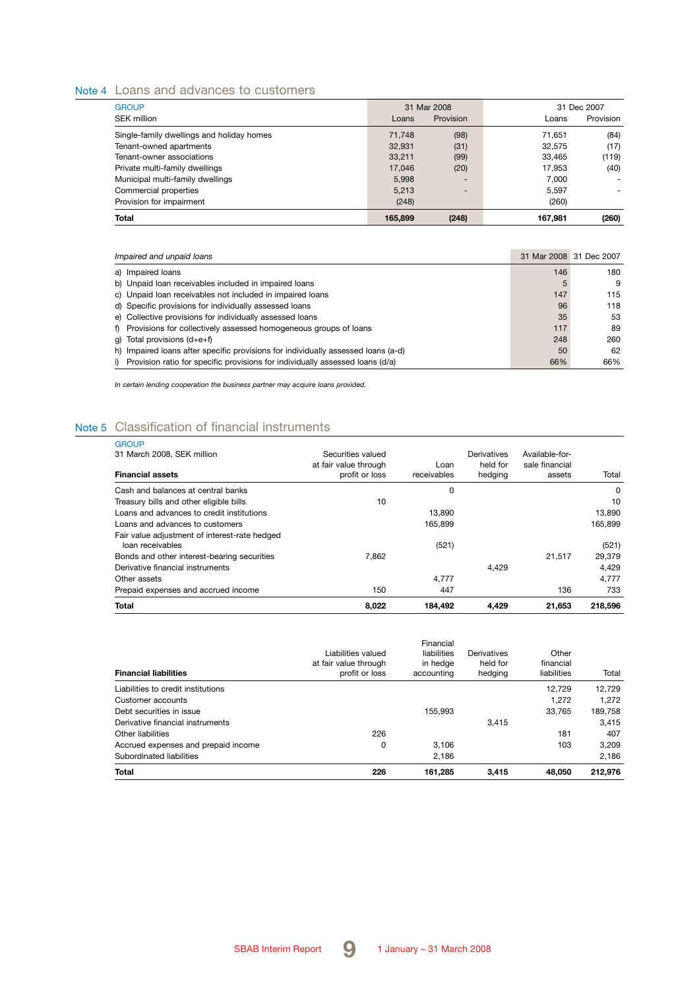## Note 4 Loans and advances to customers

| <b>GROUP</b>                              |         | 31 Mar 2008 |         | 31 Dec 2007 |
|-------------------------------------------|---------|-------------|---------|-------------|
| SEK million                               | Loans   | Provision   | Loans   | Provision   |
| Single-family dwellings and holiday homes | 71.748  | (98)        | 71.651  | (84)        |
| Tenant-owned apartments                   | 32.931  | (31)        | 32.575  | (17)        |
| Tenant-owner associations                 | 33.211  | (99)        | 33.465  | (119)       |
| Private multi-family dwellings            | 17.046  | (20)        | 17.953  | (40)        |
| Municipal multi-family dwellings          | 5.998   |             | 7.000   | $\sim$      |
| Commercial properties                     | 5.213   |             | 5.597   |             |
| Provision for impairment                  | (248)   |             | (260)   |             |
| Total                                     | 165.899 | (248)       | 167.981 | (260)       |

| Impaired and unpaid loans                                                           |     | 31 Mar 2008 31 Dec 2007 |
|-------------------------------------------------------------------------------------|-----|-------------------------|
| a) Impaired loans                                                                   | 146 | 180                     |
| b) Unpaid loan receivables included in impaired loans                               | 5   | 9                       |
| c) Unpaid loan receivables not included in impaired loans                           | 147 | 115                     |
| d) Specific provisions for individually assessed loans                              | 96  | 118                     |
| e) Collective provisions for individually assessed loans                            | 35  | 53                      |
| f) Provisions for collectively assessed homogeneous groups of loans                 | 117 | 89                      |
| q) Total provisions $(d+e+f)$                                                       | 248 | 260                     |
| h) Impaired loans after specific provisions for individually assessed loans (a-d)   | 50  | 62                      |
| Provision ratio for specific provisions for individually assessed loans (d/a)<br>i) | 66% | 66%                     |

*In certain lending cooperation the business partner may acquire loans provided.*

## Note 5 Classification of financial instruments

| <b>GROUP</b><br>31 March 2008, SEK million                        | Securities valued                       |                     | Derivatives         | Available-for-           |         |
|-------------------------------------------------------------------|-----------------------------------------|---------------------|---------------------|--------------------------|---------|
| <b>Financial assets</b>                                           | at fair value through<br>profit or loss | Loan<br>receivables | held for<br>hedging | sale financial<br>assets | Total   |
| Cash and balances at central banks                                |                                         | 0                   |                     |                          | 0       |
| Treasury bills and other eligible bills                           | 10                                      |                     |                     |                          | 10      |
| Loans and advances to credit institutions                         |                                         | 13.890              |                     |                          | 13.890  |
| Loans and advances to customers                                   |                                         | 165.899             |                     |                          | 165,899 |
| Fair value adjustment of interest-rate hedged<br>loan receivables |                                         | (521)               |                     |                          | (521)   |
| Bonds and other interest-bearing securities                       | 7.862                                   |                     |                     | 21.517                   | 29,379  |
| Derivative financial instruments                                  |                                         |                     | 4.429               |                          | 4.429   |
| Other assets                                                      |                                         | 4.777               |                     |                          | 4.777   |
| Prepaid expenses and accrued income                               | 150                                     | 447                 |                     | 136                      | 733     |
| <b>Total</b>                                                      | 8,022                                   | 184,492             | 4,429               | 21,653                   | 218,596 |

| <b>Financial liabilities</b>        | Liabilities valued<br>at fair value through<br>profit or loss | Financial<br>liabilities<br>in hedge<br>accounting | Derivatives<br>held for<br>hedging | Other<br>financial<br>liabilities | Total   |
|-------------------------------------|---------------------------------------------------------------|----------------------------------------------------|------------------------------------|-----------------------------------|---------|
| Liabilities to credit institutions  |                                                               |                                                    |                                    | 12.729                            | 12,729  |
| Customer accounts                   |                                                               |                                                    |                                    | 1.272                             | 1.272   |
| Debt securities in issue            |                                                               | 155.993                                            |                                    | 33.765                            | 189,758 |
| Derivative financial instruments    |                                                               |                                                    | 3.415                              |                                   | 3.415   |
| Other liabilities                   | 226                                                           |                                                    |                                    | 181                               | 407     |
| Accrued expenses and prepaid income | 0                                                             | 3.106                                              |                                    | 103                               | 3,209   |
| Subordinated liabilities            |                                                               | 2.186                                              |                                    |                                   | 2.186   |
| <b>Total</b>                        | 226                                                           | 161.285                                            | 3.415                              | 48,050                            | 212.976 |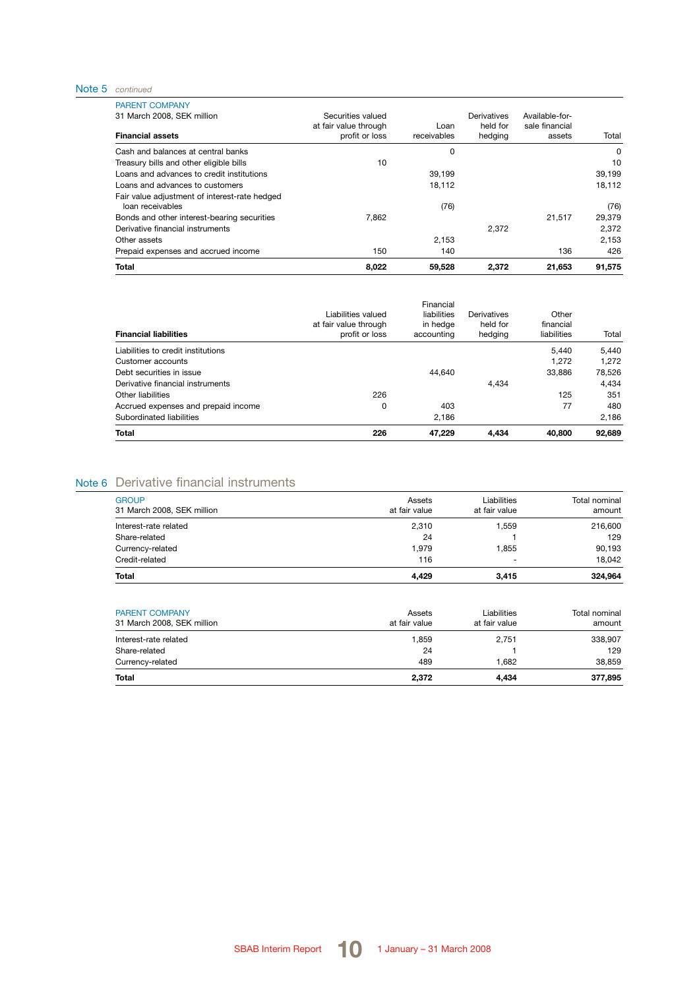#### Note 5 *continued*

| <b>Total</b>                                                      | 8,022                                   | 59,528              | 2,372               | 21,653                   | 91,575 |
|-------------------------------------------------------------------|-----------------------------------------|---------------------|---------------------|--------------------------|--------|
| Prepaid expenses and accrued income                               | 150                                     | 140                 |                     | 136                      | 426    |
| Other assets                                                      |                                         | 2.153               |                     |                          | 2,153  |
| Derivative financial instruments                                  |                                         |                     | 2.372               |                          | 2.372  |
| Bonds and other interest-bearing securities                       | 7.862                                   |                     |                     | 21.517                   | 29,379 |
| Fair value adjustment of interest-rate hedged<br>loan receivables |                                         | (76)                |                     |                          | (76)   |
| Loans and advances to customers                                   |                                         | 18.112              |                     |                          | 18.112 |
| Loans and advances to credit institutions                         |                                         | 39.199              |                     |                          | 39,199 |
| Treasury bills and other eligible bills                           | 10                                      |                     |                     |                          | 10     |
| Cash and balances at central banks                                |                                         | 0                   |                     |                          | 0      |
| <b>Financial assets</b>                                           | at fair value through<br>profit or loss | Loan<br>receivables | held for<br>hedging | sale financial<br>assets | Total  |
| <b>PARENT COMPANY</b><br>31 March 2008, SEK million               | Securities valued                       |                     | Derivatives         | Available-for-           |        |

|                                     | Liabilities valued<br>at fair value through | Financial<br>liabilities<br>in hedge | Derivatives<br>held for | Other<br>financial |        |
|-------------------------------------|---------------------------------------------|--------------------------------------|-------------------------|--------------------|--------|
| <b>Financial liabilities</b>        | profit or loss                              | accounting                           | hedging                 | liabilities        | Total  |
| Liabilities to credit institutions  |                                             |                                      |                         | 5.440              | 5.440  |
| Customer accounts                   |                                             |                                      |                         | 1.272              | 1.272  |
| Debt securities in issue            |                                             | 44.640                               |                         | 33,886             | 78.526 |
| Derivative financial instruments    |                                             |                                      | 4.434                   |                    | 4.434  |
| Other liabilities                   | 226                                         |                                      |                         | 125                | 351    |
| Accrued expenses and prepaid income | 0                                           | 403                                  |                         | 77                 | 480    |
| Subordinated liabilities            |                                             | 2.186                                |                         |                    | 2,186  |
| <b>Total</b>                        | 226                                         | 47,229                               | 4,434                   | 40,800             | 92,689 |

# Note 6 Derivative financial instruments

| <b>Total</b>               | 4,429         | 3.415         | 324.964       |
|----------------------------|---------------|---------------|---------------|
| Credit-related             | 116           | -             | 18.042        |
| Currency-related           | 1.979         | 1.855         | 90,193        |
| Share-related              | 24            |               | 129           |
| Interest-rate related      | 2,310         | 1,559         | 216,600       |
| 31 March 2008, SEK million | at fair value | at fair value | amount        |
| <b>GROUP</b>               | Assets        | Liabilities   | Total nominal |

| <b>PARENT COMPANY</b><br>31 March 2008, SEK million | Assets<br>at fair value | Liabilities<br>at fair value | Total nominal<br>amount |
|-----------------------------------------------------|-------------------------|------------------------------|-------------------------|
| Interest-rate related                               | 1.859                   | 2.751                        | 338,907                 |
| Share-related                                       | 24                      |                              | 129                     |
| Currency-related                                    | 489                     | .682                         | 38.859                  |
| Total                                               | 2,372                   | 4.434                        | 377.895                 |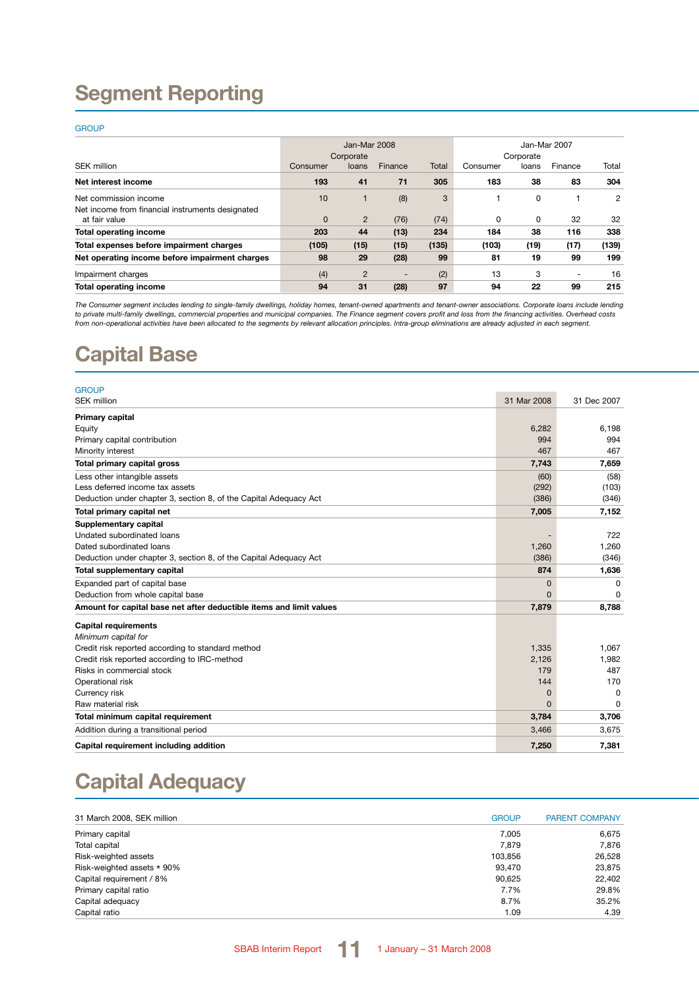# **Segment Reporting**

#### **GROUP**

|                                                                   |              | Jan-Mar 2008   |                          |       | Jan-Mar 2007 |           |                          |       |
|-------------------------------------------------------------------|--------------|----------------|--------------------------|-------|--------------|-----------|--------------------------|-------|
|                                                                   |              | Corporate      |                          |       |              | Corporate |                          |       |
| <b>SEK million</b>                                                | Consumer     | loans          | Finance                  | Total | Consumer     | loans     | Finance                  | Total |
| Net interest income                                               | 193          | 41             | 71                       | 305   | 183          | 38        | 83                       | 304   |
| Net commission income                                             | 10           |                | (8)                      | 3     |              | 0         |                          | 2     |
| Net income from financial instruments designated<br>at fair value | $\mathbf{0}$ | $\overline{2}$ | (76)                     | (74)  | $\Omega$     | 0         | 32                       | 32    |
| <b>Total operating income</b>                                     | 203          | 44             | (13)                     | 234   | 184          | 38        | 116                      | 338   |
| Total expenses before impairment charges                          | (105)        | (15)           | (15)                     | (135) | (103)        | (19)      | (17)                     | (139) |
| Net operating income before impairment charges                    | 98           | 29             | (28)                     | 99    | 81           | 19        | 99                       | 199   |
| Impairment charges                                                | (4)          | $\overline{2}$ | $\overline{\phantom{0}}$ | (2)   | 13           | 3         | $\overline{\phantom{0}}$ | 16    |
| <b>Total operating income</b>                                     | 94           | 31             | (28)                     | 97    | 94           | 22        | 99                       | 215   |

*The Consumer segment includes lending to single-family dwellings, holiday homes, tenant-owned apartments and tenant-owner associations. Corporate loans include lending*  to private multi-family dwellings, commercial properties and municipal companies. The Finance segment covers profit and loss from the financing activities. Overhead costs<br>from non-operational activities have been allocated

# **Capital Base**

| <b>GROUP</b>                                                        |                |              |
|---------------------------------------------------------------------|----------------|--------------|
| <b>SEK million</b>                                                  | 31 Mar 2008    | 31 Dec 2007  |
| Primary capital                                                     |                |              |
| Equity                                                              | 6,282          | 6.198        |
| Primary capital contribution                                        | 994            | 994          |
| Minority interest                                                   | 467            | 467          |
| Total primary capital gross                                         | 7,743          | 7,659        |
| Less other intangible assets                                        | (60)           | (58)         |
| Less deferred income tax assets                                     | (292)          | (103)        |
| Deduction under chapter 3, section 8, of the Capital Adequacy Act   | (386)          | (346)        |
| Total primary capital net                                           | 7,005          | 7,152        |
| Supplementary capital                                               |                |              |
| Undated subordinated loans                                          |                | 722          |
| Dated subordinated loans                                            | 1,260          | 1.260        |
| Deduction under chapter 3, section 8, of the Capital Adequacy Act   | (386)          | (346)        |
| Total supplementary capital                                         | 874            | 1,636        |
| Expanded part of capital base                                       | $\overline{0}$ | 0            |
| Deduction from whole capital base                                   | $\Omega$       | <sup>0</sup> |
| Amount for capital base net after deductible items and limit values | 7,879          | 8,788        |
| <b>Capital requirements</b>                                         |                |              |
| Minimum capital for                                                 |                |              |
| Credit risk reported according to standard method                   | 1,335          | 1.067        |
| Credit risk reported according to IRC-method                        | 2,126          | 1,982        |
| Risks in commercial stock                                           | 179            | 487          |
| Operational risk                                                    | 144            | 170          |
| Currency risk                                                       | $\mathbf 0$    | 0            |
| Raw material risk                                                   | $\Omega$       | $\Omega$     |
| Total minimum capital requirement                                   | 3,784          | 3,706        |
| Addition during a transitional period                               | 3,466          | 3,675        |
| Capital requirement including addition                              | 7,250          | 7,381        |

# **Capital Adequacy**

| 31 March 2008, SEK million | <b>GROUP</b> | <b>PARENT COMPANY</b> |
|----------------------------|--------------|-----------------------|
| Primary capital            | 7.005        | 6.675                 |
| Total capital              | 7.879        | 7.876                 |
| Risk-weighted assets       | 103.856      | 26.528                |
| Risk-weighted assets * 90% | 93.470       | 23,875                |
| Capital requirement / 8%   | 90.625       | 22.402                |
| Primary capital ratio      | 7.7%         | 29.8%                 |
| Capital adequacy           | 8.7%         | 35.2%                 |
| Capital ratio              | 1.09         | 4.39                  |